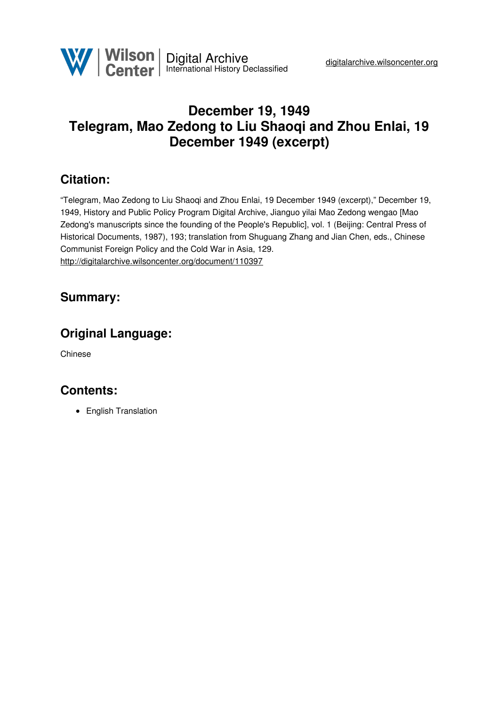# **December 19, 1949 Telegram, Mao Zedong to Liu Shaoqi and Zhou Enlai, 19 December 1949 (excerpt)**

### **Citation:**

"Telegram, Mao Zedong to Liu Shaoqi and Zhou Enlai, 19 December 1949 (excerpt)," December 19, 1949, History and Public Policy Program Digital Archive, Jianguo yilai Mao Zedong wengao [Mao Zedong's manuscripts since the founding of the People's Republic], vol. 1 (Beijing: Central Press of Historical Documents, 1987), 193; translation from Shuguang Zhang and Jian Chen, eds., Chinese Communist Foreign Policy and the Cold War in Asia, 129. <http://digitalarchive.wilsoncenter.org/document/110397>

### **Summary:**

## **Original Language:**

Chinese

### **Contents:**

• English Translation